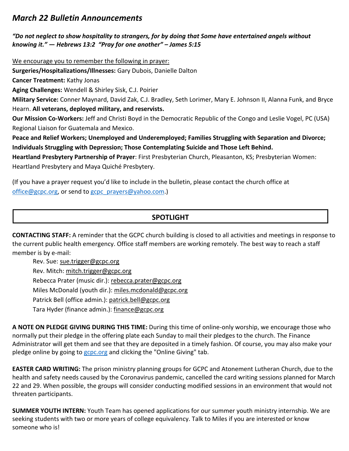# *March 22 Bulletin Announcements*

#### *"Do not neglect to show hospitality to strangers, for by doing that Some have entertained angels without knowing it." — Hebrews 13:2 "Pray for one another" – James 5:15*

We encourage you to remember the following in prayer:

**Surgeries/Hospitalizations/Illnesses:** Gary Dubois, Danielle Dalton

**Cancer Treatment:** Kathy Jonas

**Aging Challenges:** Wendell & Shirley Sisk, C.J. Poirier

**Military Service:** Conner Maynard, David Zak, C.J. Bradley, Seth Lorimer, Mary E. Johnson II, Alanna Funk, and Bryce Hearn. **All veterans, deployed military, and reservists.**

**Our Mission Co-Workers:** Jeff and Christi Boyd in the Democratic Republic of the Congo and Leslie Vogel, PC (USA) Regional Liaison for Guatemala and Mexico.

**Peace and Relief Workers; Unemployed and Underemployed; Families Struggling with Separation and Divorce; Individuals Struggling with Depression; Those Contemplating Suicide and Those Left Behind.**

**Heartland Presbytery Partnership of Prayer**: First Presbyterian Church, Pleasanton, KS; Presbyterian Women: Heartland Presbytery and Maya Quiché Presbytery.

(If you have a prayer request you'd like to include in the bulletin, please contact the church office at office@gcpc.org, or send to gcpc\_prayers@yahoo.com.)

## **SPOTLIGHT**

**CONTACTING STAFF:** A reminder that the GCPC church building is closed to all activities and meetings in response to the current public health emergency. Office staff members are working remotely. The best way to reach a staff member is by e-mail:

Rev. Sue: [sue.trigger@gcpc.org](mailto:sue.trigger@gcpc.org) Rev. Mitch: [mitch.trigger@gcpc.org](mailto:mitch.trigger@gcpc.org) Rebecca Prater (music dir.): [rebecca.prater@gcpc.org](mailto:rebecca.prater@gcpc.org) Miles McDonald (youth dir.): [miles.mcdonald@gcpc.org](mailto:miles.mcdonald@gcpc.org) Patrick Bell (office admin.): [patrick.bell@gcpc.org](mailto:patrick.bell@gcpc.org) Tara Hyder (finance admin.): [finance@gcpc.org](mailto:finance@gcpc.org)

**A NOTE ON PLEDGE GIVING DURING THIS TIME:** During this time of online-only worship, we encourage those who normally put their pledge in the offering plate each Sunday to mail their pledges to the church. The Finance Administrator will get them and see that they are deposited in a timely fashion. Of course, you may also make your pledge online by going to [gcpc.org](https://onrealm.org/gcpc/-/give/KKHVZUJVDW) and clicking the "Online Giving" tab.

**EASTER CARD WRITING:** The prison ministry planning groups for GCPC and Atonement Lutheran Church, due to the health and safety needs caused by the Coronavirus pandemic, cancelled the card writing sessions planned for March 22 and 29. When possible, the groups will consider conducting modified sessions in an environment that would not threaten participants.

**SUMMER YOUTH INTERN:** Youth Team has opened applications for our summer youth ministry internship. We are seeking students with two or more years of college equivalency. Talk to Miles if you are interested or know someone who is!